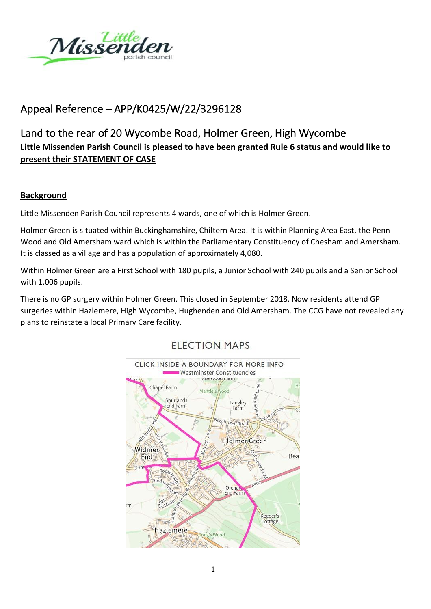

# Appeal Reference – APP/K0425/W/22/3296128

# Land to the rear of 20 Wycombe Road, Holmer Green, High Wycombe **Little Missenden Parish Council is pleased to have been granted Rule 6 status and would like to present their STATEMENT OF CASE**

## **Background**

Little Missenden Parish Council represents 4 wards, one of which is Holmer Green.

Holmer Green is situated within Buckinghamshire, Chiltern Area. It is within Planning Area East, the Penn Wood and Old Amersham ward which is within the Parliamentary Constituency of Chesham and Amersham. It is classed as a village and has a population of approximately 4,080.

Within Holmer Green are a First School with 180 pupils, a Junior School with 240 pupils and a Senior School with 1,006 pupils.

There is no GP surgery within Holmer Green. This closed in September 2018. Now residents attend GP surgeries within Hazlemere, High Wycombe, Hughenden and Old Amersham. The CCG have not revealed any plans to reinstate a local Primary Care facility.

# **FLECTION MAPS**

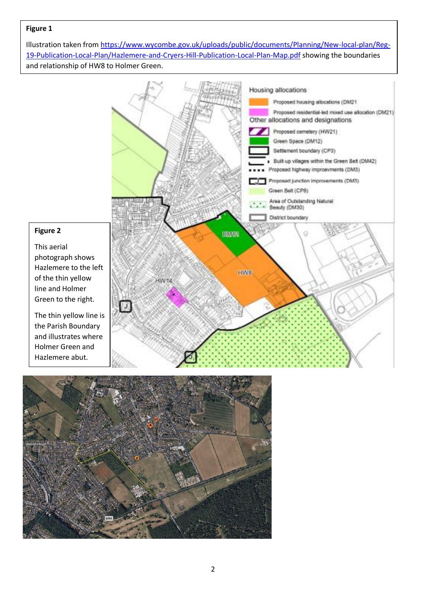#### **Figure 1**

Illustration taken from [https://www.wycombe.gov.uk/uploads/public/documents/Planning/New-local-plan/Reg-](https://www.wycombe.gov.uk/uploads/public/documents/Planning/New-local-plan/Reg-19-Publication-Local-Plan/Hazlemere-and-Cryers-Hill-Publication-Local-Plan-Map.pdf)[19-Publication-Local-Plan/Hazlemere-and-Cryers-Hill-Publication-Local-Plan-Map.pdf](https://www.wycombe.gov.uk/uploads/public/documents/Planning/New-local-plan/Reg-19-Publication-Local-Plan/Hazlemere-and-Cryers-Hill-Publication-Local-Plan-Map.pdf) showing the boundaries and relationship of HW8 to Holmer Green.



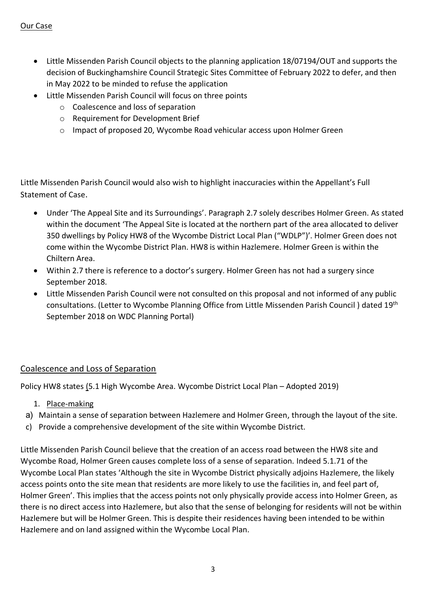### Our Case

- Little Missenden Parish Council objects to the planning application 18/07194/OUT and supports the decision of Buckinghamshire Council Strategic Sites Committee of February 2022 to defer, and then in May 2022 to be minded to refuse the application
- Little Missenden Parish Council will focus on three points
	- o Coalescence and loss of separation
	- o Requirement for Development Brief
	- o Impact of proposed 20, Wycombe Road vehicular access upon Holmer Green

Little Missenden Parish Council would also wish to highlight inaccuracies within the Appellant's Full Statement of Case.

- Under 'The Appeal Site and its Surroundings'. Paragraph 2.7 solely describes Holmer Green. As stated within the document 'The Appeal Site is located at the northern part of the area allocated to deliver 350 dwellings by Policy HW8 of the Wycombe District Local Plan ("WDLP")'. Holmer Green does not come within the Wycombe District Plan. HW8 is within Hazlemere. Holmer Green is within the Chiltern Area.
- Within 2.7 there is reference to a doctor's surgery. Holmer Green has not had a surgery since September 2018.
- Little Missenden Parish Council were not consulted on this proposal and not informed of any public consultations. (Letter to Wycombe Planning Office from Little Missenden Parish Council ) dated 19th September 2018 on WDC Planning Portal)

### Coalescence and Loss of Separation

Policy HW8 states (5.1 High Wycombe Area. Wycombe District Local Plan – Adopted 2019)

- 1. Place-making
- a) Maintain a sense of separation between Hazlemere and Holmer Green, through the layout of the site.
- c) Provide a comprehensive development of the site within Wycombe District.

Little Missenden Parish Council believe that the creation of an access road between the HW8 site and Wycombe Road, Holmer Green causes complete loss of a sense of separation. Indeed 5.1.71 of the Wycombe Local Plan states 'Although the site in Wycombe District physically adjoins Hazlemere, the likely access points onto the site mean that residents are more likely to use the facilities in, and feel part of, Holmer Green'. This implies that the access points not only physically provide access into Holmer Green, as there is no direct access into Hazlemere, but also that the sense of belonging for residents will not be within Hazlemere but will be Holmer Green. This is despite their residences having been intended to be within Hazlemere and on land assigned within the Wycombe Local Plan.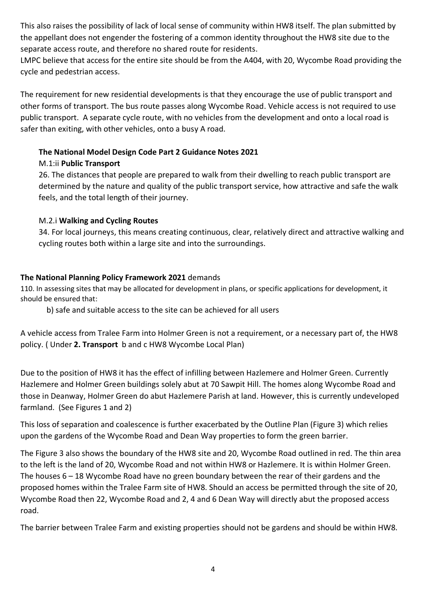This also raises the possibility of lack of local sense of community within HW8 itself. The plan submitted by the appellant does not engender the fostering of a common identity throughout the HW8 site due to the separate access route, and therefore no shared route for residents.

LMPC believe that access for the entire site should be from the A404, with 20, Wycombe Road providing the cycle and pedestrian access.

The requirement for new residential developments is that they encourage the use of public transport and other forms of transport. The bus route passes along Wycombe Road. Vehicle access is not required to use public transport. A separate cycle route, with no vehicles from the development and onto a local road is safer than exiting, with other vehicles, onto a busy A road.

## **The National Model Design Code Part 2 Guidance Notes 2021**

# M.1:ii **Public Transport**

26. The distances that people are prepared to walk from their dwelling to reach public transport are determined by the nature and quality of the public transport service, how attractive and safe the walk feels, and the total length of their journey.

# M.2.i **Walking and Cycling Routes**

34. For local journeys, this means creating continuous, clear, relatively direct and attractive walking and cycling routes both within a large site and into the surroundings.

# **The National Planning Policy Framework 2021** demands

110. In assessing sites that may be allocated for development in plans, or specific applications for development, it should be ensured that:

b) safe and suitable access to the site can be achieved for all users

A vehicle access from Tralee Farm into Holmer Green is not a requirement, or a necessary part of, the HW8 policy. ( Under **2. Transport** b and c HW8 Wycombe Local Plan)

Due to the position of HW8 it has the effect of infilling between Hazlemere and Holmer Green. Currently Hazlemere and Holmer Green buildings solely abut at 70 Sawpit Hill. The homes along Wycombe Road and those in Deanway, Holmer Green do abut Hazlemere Parish at land. However, this is currently undeveloped farmland. (See Figures 1 and 2)

This loss of separation and coalescence is further exacerbated by the Outline Plan (Figure 3) which relies upon the gardens of the Wycombe Road and Dean Way properties to form the green barrier.

The Figure 3 also shows the boundary of the HW8 site and 20, Wycombe Road outlined in red. The thin area to the left is the land of 20, Wycombe Road and not within HW8 or Hazlemere. It is within Holmer Green. The houses  $6 - 18$  Wycombe Road have no green boundary between the rear of their gardens and the proposed homes within the Tralee Farm site of HW8. Should an access be permitted through the site of 20, Wycombe Road then 22, Wycombe Road and 2, 4 and 6 Dean Way will directly abut the proposed access road.

The barrier between Tralee Farm and existing properties should not be gardens and should be within HW8.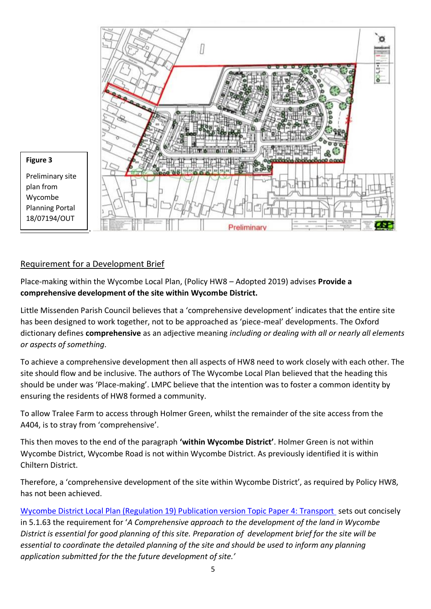

### Requirement for a Development Brief

Place-making within the Wycombe Local Plan, (Policy HW8 – Adopted 2019) advises **Provide a comprehensive development of the site within Wycombe District.**

Little Missenden Parish Council believes that a 'comprehensive development' indicates that the entire site has been designed to work together, not to be approached as 'piece-meal' developments. The Oxford dictionary defines **comprehensive** as an adjective meaning *including or dealing with all or nearly all elements or aspects of something.*

To achieve a comprehensive development then all aspects of HW8 need to work closely with each other. The site should flow and be inclusive. The authors of The Wycombe Local Plan believed that the heading this should be under was 'Place-making'. LMPC believe that the intention was to foster a common identity by ensuring the residents of HW8 formed a community.

To allow Tralee Farm to access through Holmer Green, whilst the remainder of the site access from the A404, is to stray from 'comprehensive'.

This then moves to the end of the paragraph **'within Wycombe District'**. Holmer Green is not within Wycombe District, Wycombe Road is not within Wycombe District. As previously identified it is within Chiltern District.

Therefore, a 'comprehensive development of the site within Wycombe District', as required by Policy HW8, has not been achieved.

[Wycombe District Local Plan \(Regulation 19\) Publication version Topic Paper 4: Transport](https://www.wycombe.gov.uk/uploads/public/documents/Planning/New-local-plan/Reg-19-Publication-Local-Plan/Wycombe-District-Local-Plan-Publication-Version.pdf) sets out concisely in 5.1.63 the requirement for '*A Comprehensive approach to the development of the land in Wycombe District is essential for good planning of this site. Preparation of development brief for the site will be essential to coordinate the detailed planning of the site and should be used to inform any planning application submitted for the the future development of site.'*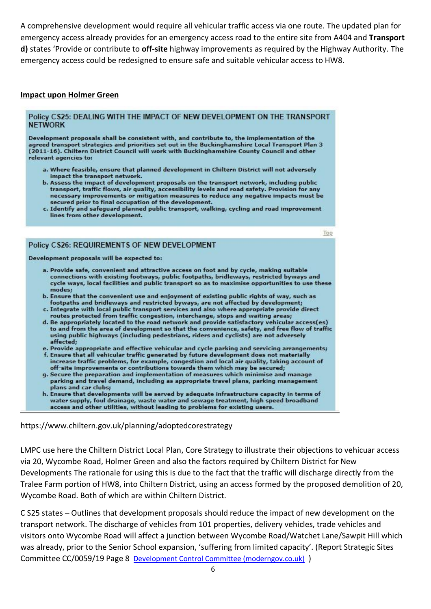A comprehensive development would require all vehicular traffic access via one route. The updated plan for emergency access already provides for an emergency access road to the entire site from A404 and **Transport d)** states 'Provide or contribute to **off-site** highway improvements as required by the Highway Authority. The emergency access could be redesigned to ensure safe and suitable vehicular access to HW8.

#### **Impact upon Holmer Green**

#### Policy CS25: DEALING WITH THE IMPACT OF NEW DEVELOPMENT ON THE TRANSPORT **NETWORK**

Development proposals shall be consistent with, and contribute to, the implementation of the agreed transport strategies and priorities set out in the Buckinghamshire Local Transport Plan 3 (2011-16). Chiltern District Council will work with Buckinghamshire County Council and other relevant agencies to:

- a. Where feasible, ensure that planned development in Chiltern District will not adversely impact the transport network.
- b. Assess the impact of development proposals on the transport network, including public transport, traffic flows, air quality, accessibility levels and road safety. Provision for any necessary improvements or mitigation measures to reduce any negative impacts must be secured prior to final occupation of the development.
- c. Identify and safeguard planned public transport, walking, cycling and road improvement lines from other development.

#### Policy CS26: REQUIREMENTS OF NEW DEVELOPMENT

Development proposals will be expected to:

a. Provide safe, convenient and attractive access on foot and by cycle, making suitable connections with existing footways, public footpaths, bridleways, restricted byways and cycle ways, local facilities and public transport so as to maximise opportunities to use these modes;

Top

- b. Ensure that the convenient use and enjoyment of existing public rights of way, such as footpaths and bridleways and restricted byways, are not affected by development;
- c. Integrate with local public transport services and also where appropriate provide direct routes protected from traffic congestion, interchange, stops and waiting areas;
- d. Be appropriately located to the road network and provide satisfactory vehicular access(es) to and from the area of development so that the convenience, safety, and free flow of traffic using public highways (including pedestrians, riders and cyclists) are not adversely affected:
- e. Provide appropriate and effective vehicular and cycle parking and servicing arrangements;
- f. Ensure that all vehicular traffic generated by future development does not materially increase traffic problems, for example, congestion and local air quality, taking account of off-site improvements or contributions towards them which may be secured;
- g. Secure the preparation and implementation of measures which minimise and manage parking and travel demand, including as appropriate travel plans, parking management plans and car clubs:
- h. Ensure that developments will be served by adequate infrastructure capacity in terms of water supply, foul drainage, waste water and sewage treatment, high speed broadband access and other utilities, without leading to problems for existing users.

https://www.chiltern.gov.uk/planning/adoptedcorestrategy

LMPC use here the Chiltern District Local Plan, Core Strategy to illustrate their objections to vehicuar access via 20, Wycombe Road, Holmer Green and also the factors required by Chiltern District for New Developments The rationale for using this is due to the fact that the traffic will discharge directly from the Tralee Farm portion of HW8, into Chiltern District, using an access formed by the proposed demolition of 20, Wycombe Road. Both of which are within Chiltern District.

C S25 states – Outlines that development proposals should reduce the impact of new development on the transport network. The discharge of vehicles from 101 properties, delivery vehicles, trade vehicles and visitors onto Wycombe Road will affect a junction between Wycombe Road/Watchet Lane/Sawpit Hill which was already, prior to the Senior School expansion, 'suffering from limited capacity'. (Report Strategic Sites Committee CC/0059/19 Page 8 [Development Control Committee \(moderngov.co.uk\)](https://buckinghamshire.moderngov.co.uk/documents/s7834/Committee%20Report%20Holmer%20Green%20Senior%20School%20CC005919.pdf) )